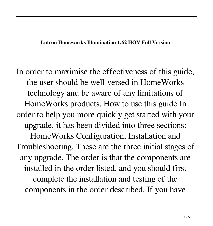## **Lutron Homeworks Illumination 1.62 HOV Full Version**

In order to maximise the effectiveness of this guide, the user should be well-versed in HomeWorks technology and be aware of any limitations of HomeWorks products. How to use this guide In order to help you more quickly get started with your upgrade, it has been divided into three sections: HomeWorks Configuration, Installation and Troubleshooting. These are the three initial stages of any upgrade. The order is that the components are installed in the order listed, and you should first complete the installation and testing of the components in the order described. If you have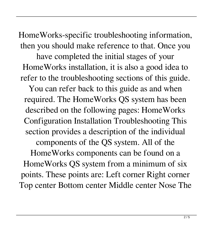HomeWorks-specific troubleshooting information, then you should make reference to that. Once you have completed the initial stages of your HomeWorks installation, it is also a good idea to refer to the troubleshooting sections of this guide.

You can refer back to this guide as and when required. The HomeWorks QS system has been described on the following pages: HomeWorks Configuration Installation Troubleshooting This section provides a description of the individual

components of the QS system. All of the

HomeWorks components can be found on a HomeWorks QS system from a minimum of six points. These points are: Left corner Right corner Top center Bottom center Middle center Nose The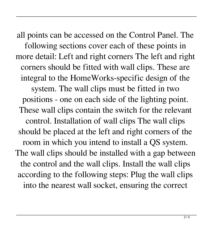all points can be accessed on the Control Panel. The following sections cover each of these points in more detail: Left and right corners The left and right corners should be fitted with wall clips. These are integral to the HomeWorks-specific design of the system. The wall clips must be fitted in two positions - one on each side of the lighting point. These wall clips contain the switch for the relevant control. Installation of wall clips The wall clips should be placed at the left and right corners of the room in which you intend to install a QS system. The wall clips should be installed with a gap between the control and the wall clips. Install the wall clips according to the following steps: Plug the wall clips into the nearest wall socket, ensuring the correct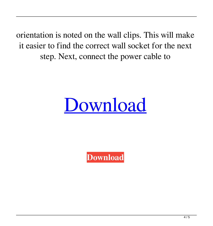orientation is noted on the wall clips. This will make it easier to find the correct wall socket for the next step. Next, connect the power cable to